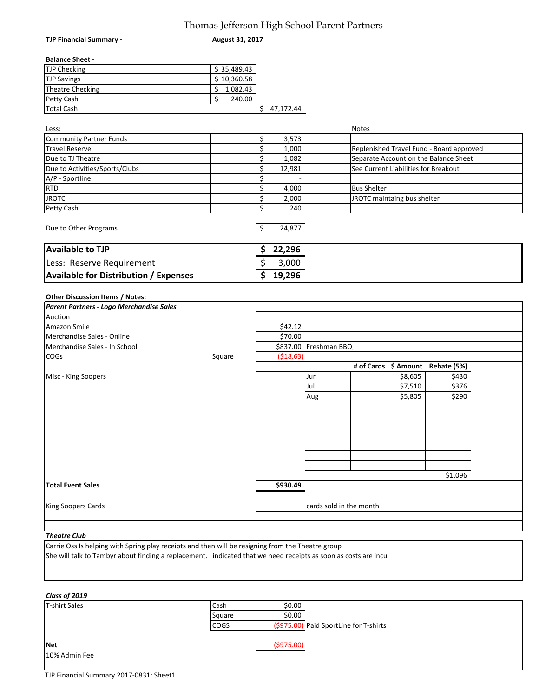# Thomas Jefferson High School Parent Partners

**August 31, 2017**

### **Balance Sheet -**

**TJP Financial Summary -** 

| <b>TJP Checking</b> | \$35,489.43 |           |
|---------------------|-------------|-----------|
| <b>TJP Savings</b>  | \$10,360.58 |           |
| Theatre Checking    | 1,082.43    |           |
| <b>Petty Cash</b>   | 240.00      |           |
| Total Cash          |             | 47.172.44 |

| Less:                                        |              | <b>Notes</b>                             |
|----------------------------------------------|--------------|------------------------------------------|
| Community Partner Funds                      | \$<br>3,573  |                                          |
| <b>Travel Reserve</b>                        | 1,000        | Replenished Travel Fund - Board approved |
| Due to TJ Theatre                            | \$<br>1,082  | Separate Account on the Balance Sheet    |
| Due to Activities/Sports/Clubs               | \$<br>12,981 | See Current Liabilities for Breakout     |
| A/P - Sportline                              | \$           |                                          |
| <b>RTD</b>                                   | \$<br>4,000  | <b>Bus Shelter</b>                       |
| <b>JROTC</b>                                 | \$<br>2,000  | JROTC maintaing bus shelter              |
| Petty Cash                                   | \$<br>240    |                                          |
| Due to Other Programs                        | 24,877       |                                          |
| <b>Available to TJP</b>                      | 22,296       |                                          |
| Less: Reserve Requirement                    | 3,000        |                                          |
| <b>Available for Distribution / Expenses</b> | 19,296       |                                          |
| <b>Other Discussion Items / Notes:</b>       |              |                                          |
| Parent Partners - Logo Merchandise Sales     |              |                                          |
| Auction                                      |              |                                          |
| Amazon Smile                                 | \$42.12      |                                          |

| TAMAZON SMIIE                 |        | 542.IZ     |                         |         |                                  |  |
|-------------------------------|--------|------------|-------------------------|---------|----------------------------------|--|
| Merchandise Sales - Online    |        | \$70.00    |                         |         |                                  |  |
| Merchandise Sales - In School |        |            | \$837.00 Freshman BBQ   |         |                                  |  |
| <b>COGS</b>                   | Square | ( \$18.63) |                         |         |                                  |  |
|                               |        |            |                         |         | # of Cards \$ Amount Rebate (5%) |  |
| Misc - King Soopers           |        |            | Jun                     | \$8,605 | \$430                            |  |
|                               |        |            | Jul                     | \$7,510 | \$376                            |  |
|                               |        |            | Aug                     | \$5,805 | \$290                            |  |
|                               |        |            |                         |         |                                  |  |
|                               |        |            |                         |         |                                  |  |
|                               |        |            |                         |         |                                  |  |
|                               |        |            |                         |         |                                  |  |
|                               |        |            |                         |         |                                  |  |
|                               |        |            |                         |         |                                  |  |
|                               |        |            |                         |         |                                  |  |
|                               |        |            |                         |         | \$1,096                          |  |
| <b>Total Event Sales</b>      |        | \$930.49   |                         |         |                                  |  |
|                               |        |            |                         |         |                                  |  |
| <b>King Soopers Cards</b>     |        |            | cards sold in the month |         |                                  |  |
|                               |        |            |                         |         |                                  |  |

#### *Theatre Club*

Carrie Oss Is helping with Spring play receipts and then will be resigning from the Theatre group She will talk to Tambyr about finding a replacement. I indicated that we need receipts as soon as costs are incu

### *Class of 2019*

| <b>T-shirt Sales</b> | Cash        | \$0.00      |                                        |
|----------------------|-------------|-------------|----------------------------------------|
|                      | Square      | \$0.00      |                                        |
|                      | <b>COGS</b> |             | (\$975.00) Paid SportLine for T-shirts |
|                      |             |             |                                        |
| Net                  |             | ( \$975.00) |                                        |
| 10% Admin Fee        |             |             |                                        |
|                      |             |             |                                        |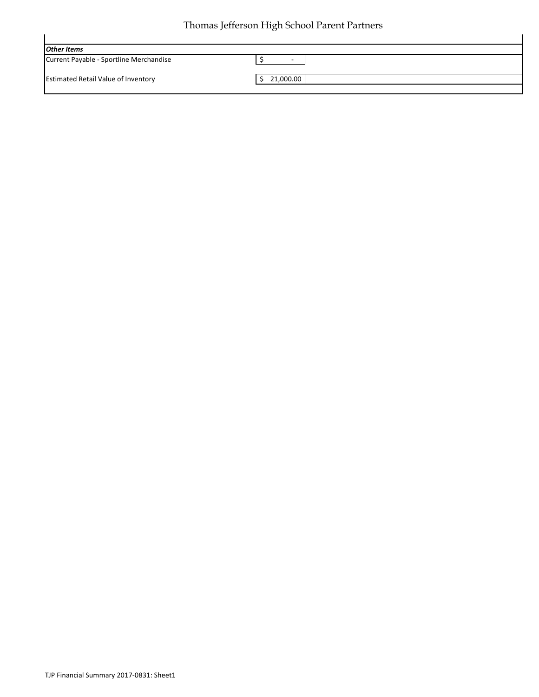## Thomas Jefferson High School Parent Partners

|                                            | ັ                        |
|--------------------------------------------|--------------------------|
| <b>Other Items</b>                         |                          |
| Current Payable - Sportline Merchandise    | $\overline{\phantom{a}}$ |
|                                            |                          |
| <b>Estimated Retail Value of Inventory</b> | 21,000.00                |
|                                            |                          |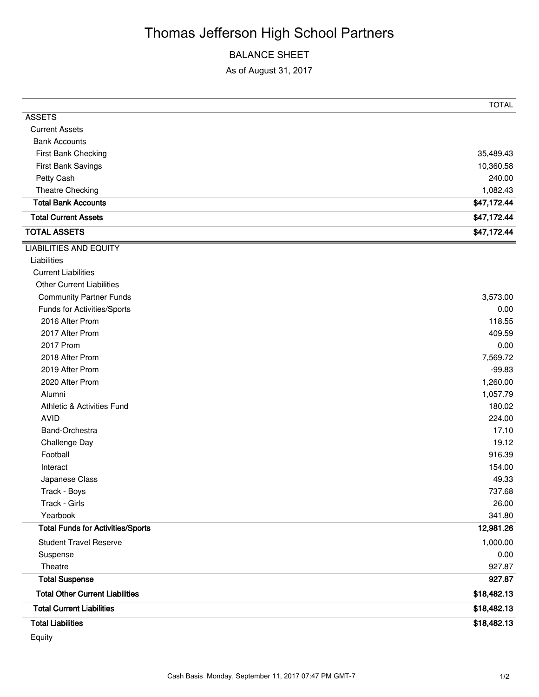# Thomas Jefferson High School Partners

### BALANCE SHEET

As of August 31, 2017

|                                          | <b>TOTAL</b> |
|------------------------------------------|--------------|
| <b>ASSETS</b>                            |              |
| <b>Current Assets</b>                    |              |
| <b>Bank Accounts</b>                     |              |
| First Bank Checking                      | 35,489.43    |
| First Bank Savings                       | 10,360.58    |
| Petty Cash                               | 240.00       |
| Theatre Checking                         | 1,082.43     |
| <b>Total Bank Accounts</b>               | \$47,172.44  |
| <b>Total Current Assets</b>              | \$47,172.44  |
| <b>TOTAL ASSETS</b>                      | \$47,172.44  |
| <b>LIABILITIES AND EQUITY</b>            |              |
| Liabilities                              |              |
| <b>Current Liabilities</b>               |              |
| <b>Other Current Liabilities</b>         |              |
| <b>Community Partner Funds</b>           | 3,573.00     |
| Funds for Activities/Sports              | 0.00         |
| 2016 After Prom                          | 118.55       |
| 2017 After Prom                          | 409.59       |
| 2017 Prom                                | 0.00         |
| 2018 After Prom                          | 7,569.72     |
| 2019 After Prom                          | $-99.83$     |
| 2020 After Prom                          | 1,260.00     |
| Alumni                                   | 1,057.79     |
| <b>Athletic &amp; Activities Fund</b>    | 180.02       |
| <b>AVID</b>                              | 224.00       |
| Band-Orchestra                           | 17.10        |
| Challenge Day                            | 19.12        |
| Football                                 | 916.39       |
| Interact                                 | 154.00       |
| Japanese Class                           | 49.33        |
| Track - Boys                             | 737.68       |
| Track - Girls                            | 26.00        |
| Yearbook                                 | 341.80       |
| <b>Total Funds for Activities/Sports</b> | 12,981.26    |
| <b>Student Travel Reserve</b>            | 1,000.00     |
| Suspense                                 | 0.00         |
| Theatre                                  | 927.87       |
| <b>Total Suspense</b>                    | 927.87       |
| <b>Total Other Current Liabilities</b>   | \$18,482.13  |
| <b>Total Current Liabilities</b>         | \$18,482.13  |
| <b>Total Liabilities</b>                 | \$18,482.13  |

Equity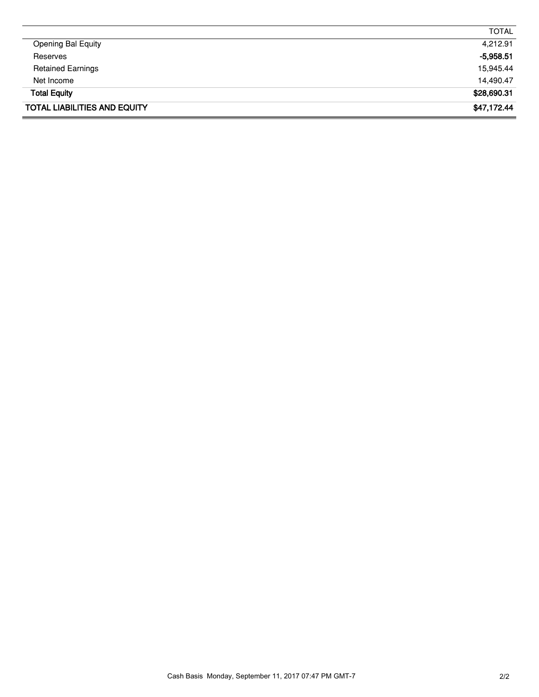| <b>TOTAL LIABILITIES AND EQUITY</b> | \$47,172.44  |
|-------------------------------------|--------------|
| <b>Total Equity</b>                 | \$28,690.31  |
| Net Income                          | 14,490.47    |
| <b>Retained Earnings</b>            | 15,945.44    |
| Reserves                            | $-5,958.51$  |
| <b>Opening Bal Equity</b>           | 4,212.91     |
|                                     | <b>TOTAL</b> |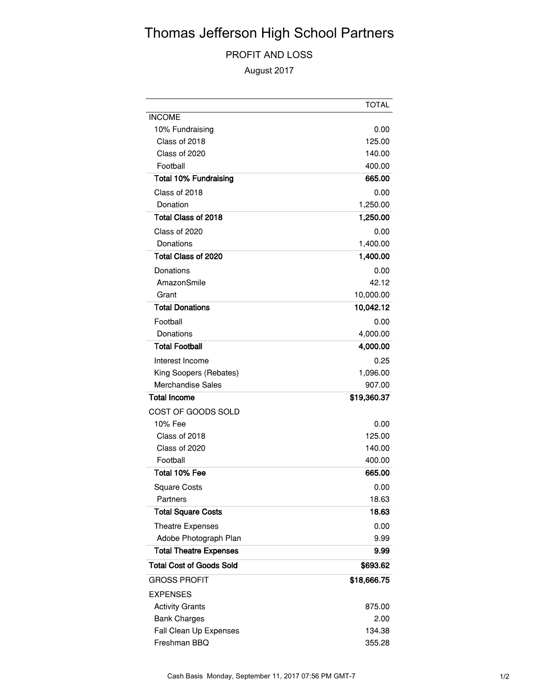# Thomas Jefferson High School Partners

### PROFIT AND LOSS

August 2017

|                                 | <b>TOTAL</b> |
|---------------------------------|--------------|
| <b>INCOME</b>                   |              |
| 10% Fundraising                 | 0.00         |
| Class of 2018                   | 125.00       |
| Class of 2020                   | 140.00       |
| Football                        | 400.00       |
| <b>Total 10% Fundraising</b>    | 665.00       |
| Class of 2018                   | 0.00         |
| Donation                        | 1,250.00     |
| Total Class of 2018             | 1,250.00     |
| Class of 2020                   | 0.00         |
| Donations                       | 1,400.00     |
| Total Class of 2020             | 1,400.00     |
| Donations                       | 0.00         |
| AmazonSmile                     | 42.12        |
| Grant                           | 10,000.00    |
| <b>Total Donations</b>          | 10,042.12    |
| Football                        | 0.00         |
| Donations                       | 4,000.00     |
| <b>Total Football</b>           | 4,000.00     |
| Interest Income                 | 0.25         |
| King Soopers (Rebates)          | 1,096.00     |
| <b>Merchandise Sales</b>        | 907.00       |
| <b>Total Income</b>             | \$19,360.37  |
| COST OF GOODS SOLD              |              |
| 10% Fee                         | 0.00         |
| Class of 2018                   | 125.00       |
| Class of 2020                   | 140.00       |
| Football                        | 400.00       |
| Total 10% Fee                   | 665.00       |
| <b>Square Costs</b>             | 0.00         |
| Partners                        | 18.63        |
| <b>Total Square Costs</b>       | 18.63        |
| <b>Theatre Expenses</b>         | 0.00         |
| Adobe Photograph Plan           | 9.99         |
| <b>Total Theatre Expenses</b>   | 9.99         |
| <b>Total Cost of Goods Sold</b> | \$693.62     |
| <b>GROSS PROFIT</b>             | \$18,666.75  |
| <b>EXPENSES</b>                 |              |
| <b>Activity Grants</b>          | 875.00       |
| <b>Bank Charges</b>             | 2.00         |
| Fall Clean Up Expenses          | 134.38       |
| Freshman BBQ                    | 355.28       |